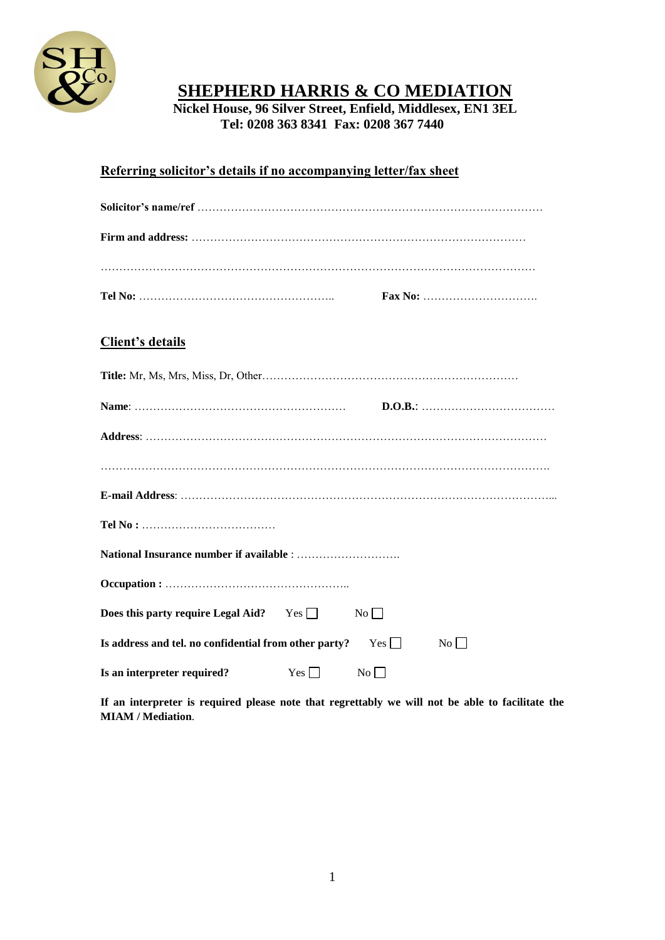

# **SHEPHERD HARRIS & CO MEDIATION**

**Nickel House, 96 Silver Street, Enfield, Middlesex, EN1 3EL Tel: 0208 363 8341 Fax: 0208 367 7440** 

## **Referring solicitor's details if no accompanying letter/fax sheet**

|                                                             |            |           | Fax No: $\ldots$ $\ldots$ $\ldots$ $\ldots$ $\ldots$ $\ldots$ |  |
|-------------------------------------------------------------|------------|-----------|---------------------------------------------------------------|--|
| <b>Client's details</b>                                     |            |           |                                                               |  |
|                                                             |            |           |                                                               |  |
|                                                             |            |           |                                                               |  |
|                                                             |            |           |                                                               |  |
|                                                             |            |           |                                                               |  |
|                                                             |            |           |                                                               |  |
|                                                             |            |           |                                                               |  |
|                                                             |            |           |                                                               |  |
|                                                             |            |           |                                                               |  |
| <b>Does this party require Legal Aid?</b> Yes $\Box$        |            | $No \Box$ |                                                               |  |
| Is address and tel. no confidential from other party? $Yes$ |            |           | No                                                            |  |
| Is an interpreter required?                                 | $Yes \Box$ | No        |                                                               |  |

**If an interpreter is required please note that regrettably we will not be able to facilitate the MIAM / Mediation**.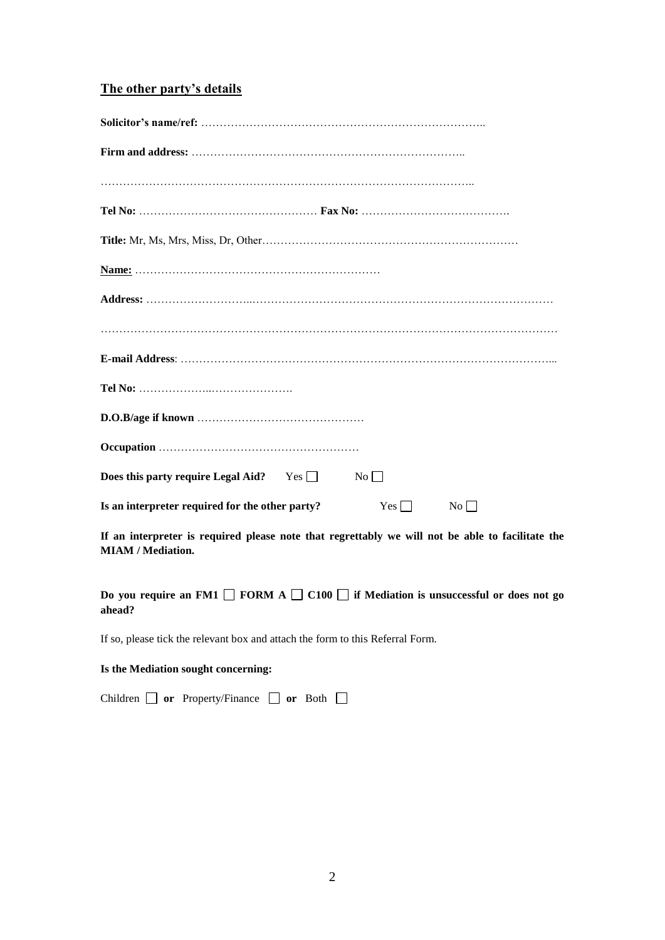## **The other party's details**

| <b>Does this party require Legal Aid?</b> Yes $\Box$ | $No \Box$ |
|------------------------------------------------------|-----------|
| Is an interpreter required for the other party?      | Yes<br>No |

**If an interpreter is required please note that regrettably we will not be able to facilitate the MIAM / Mediation.**

**Do** you require an FM1  $\Box$  FORM A  $\Box$  C100  $\Box$  if Mediation is unsuccessful or does not go **ahead?** 

If so, please tick the relevant box and attach the form to this Referral Form.

#### **Is the Mediation sought concerning:**

Children **or** Property/Finance **or** Both